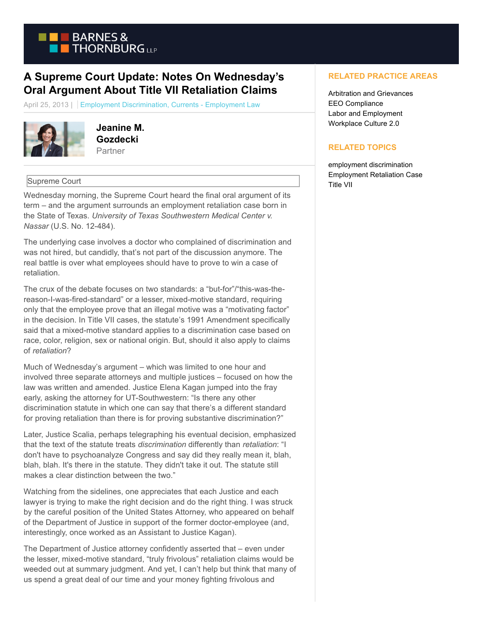

## **A Supreme Court Update: Notes On Wednesday's Oral Argument About Title VII Retaliation Claims**

April 25, 2013 | Employment Discrimination, Currents - Employment Law



**Jeanine M. Gozdecki Partner** 

## Supreme Court

Wednesday morning, the Supreme Court heard the final oral argument of its term – and the argument surrounds an employment retaliation case born in the State of Texas. *University of Texas Southwestern Medical Center v. Nassar* (U.S. No. 12-484).

The underlying case involves a doctor who complained of discrimination and was not hired, but candidly, that's not part of the discussion anymore. The real battle is over what employees should have to prove to win a case of retaliation.

The crux of the debate focuses on two standards: a "but-for"/"this-was-thereason-I-was-fired-standard" or a lesser, mixed-motive standard, requiring only that the employee prove that an illegal motive was a "motivating factor" in the decision. In Title VII cases, the statute's 1991 Amendment specifically said that a mixed-motive standard applies to a discrimination case based on race, color, religion, sex or national origin. But, should it also apply to claims of *retaliation*?

Much of Wednesday's argument – which was limited to one hour and involved three separate attorneys and multiple justices – focused on how the law was written and amended. Justice Elena Kagan jumped into the fray early, asking the attorney for UT-Southwestern: "Is there any other discrimination statute in which one can say that there's a different standard for proving retaliation than there is for proving substantive discrimination?"

Later, Justice Scalia, perhaps telegraphing his eventual decision, emphasized that the text of the statute treats *discrimination* differently than *retaliation*: "I don't have to psychoanalyze Congress and say did they really mean it, blah, blah, blah. It's there in the statute. They didn't take it out. The statute still makes a clear distinction between the two."

Watching from the sidelines, one appreciates that each Justice and each lawyer is trying to make the right decision and do the right thing. I was struck by the careful position of the United States Attorney, who appeared on behalf of the Department of Justice in support of the former doctor-employee (and, interestingly, once worked as an Assistant to Justice Kagan).

The Department of Justice attorney confidently asserted that – even under the lesser, mixed-motive standard, "truly frivolous" retaliation claims would be weeded out at summary judgment. And yet, I can't help but think that many of us spend a great deal of our time and your money fighting frivolous and

## **RELATED PRACTICE AREAS**

Arbitration and Grievances EEO Compliance Labor and Employment Workplace Culture 2.0

## **RELATED TOPICS**

employment discrimination Employment Retaliation Case Title VII